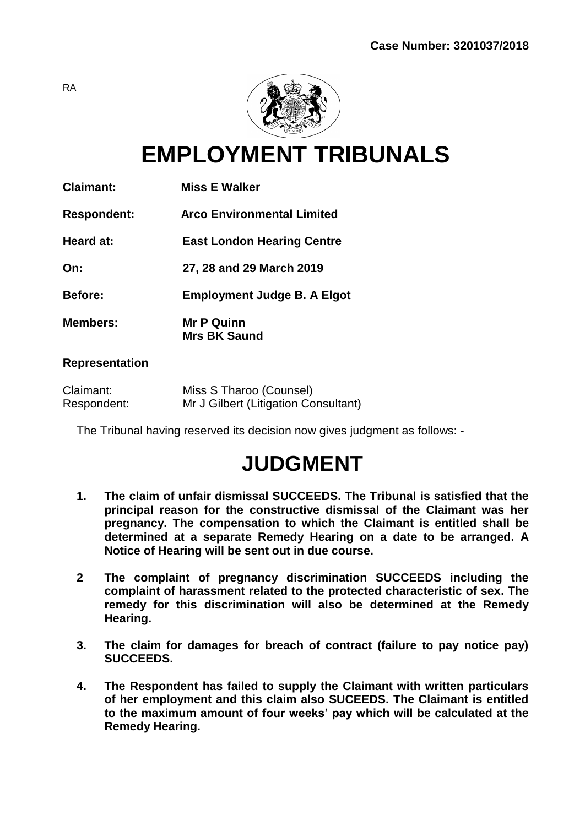

**EMPLOYMENT TRIBUNALS**

| <b>Claimant:</b>   | <b>Miss E Walker</b>                     |
|--------------------|------------------------------------------|
| <b>Respondent:</b> | Arco Environmental Limited               |
| Heard at:          | <b>East London Hearing Centre</b>        |
| On:                | 27, 28 and 29 March 2019                 |
| <b>Before:</b>     | <b>Employment Judge B. A Elgot</b>       |
| <b>Members:</b>    | <b>Mr P Quinn</b><br><b>Mrs BK Saund</b> |

## **Representation**

| Claimant:   | Miss S Tharoo (Counsel)              |
|-------------|--------------------------------------|
| Respondent: | Mr J Gilbert (Litigation Consultant) |

The Tribunal having reserved its decision now gives judgment as follows: -

# **JUDGMENT**

- **1. The claim of unfair dismissal SUCCEEDS. The Tribunal is satisfied that the principal reason for the constructive dismissal of the Claimant was her pregnancy. The compensation to which the Claimant is entitled shall be determined at a separate Remedy Hearing on a date to be arranged. A Notice of Hearing will be sent out in due course.**
- **2 The complaint of pregnancy discrimination SUCCEEDS including the complaint of harassment related to the protected characteristic of sex. The remedy for this discrimination will also be determined at the Remedy Hearing.**
- **3. The claim for damages for breach of contract (failure to pay notice pay) SUCCEEDS.**
- **4. The Respondent has failed to supply the Claimant with written particulars of her employment and this claim also SUCEEDS. The Claimant is entitled to the maximum amount of four weeks' pay which will be calculated at the Remedy Hearing.**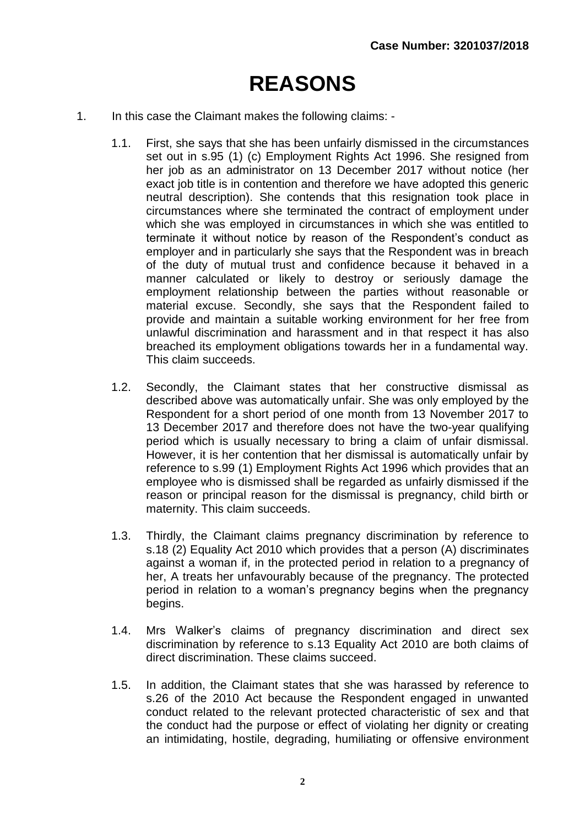# **REASONS**

- 1. In this case the Claimant makes the following claims:
	- 1.1. First, she says that she has been unfairly dismissed in the circumstances set out in s.95 (1) (c) Employment Rights Act 1996. She resigned from her job as an administrator on 13 December 2017 without notice (her exact job title is in contention and therefore we have adopted this generic neutral description). She contends that this resignation took place in circumstances where she terminated the contract of employment under which she was employed in circumstances in which she was entitled to terminate it without notice by reason of the Respondent's conduct as employer and in particularly she says that the Respondent was in breach of the duty of mutual trust and confidence because it behaved in a manner calculated or likely to destroy or seriously damage the employment relationship between the parties without reasonable or material excuse. Secondly, she says that the Respondent failed to provide and maintain a suitable working environment for her free from unlawful discrimination and harassment and in that respect it has also breached its employment obligations towards her in a fundamental way. This claim succeeds.
	- 1.2. Secondly, the Claimant states that her constructive dismissal as described above was automatically unfair. She was only employed by the Respondent for a short period of one month from 13 November 2017 to 13 December 2017 and therefore does not have the two-year qualifying period which is usually necessary to bring a claim of unfair dismissal. However, it is her contention that her dismissal is automatically unfair by reference to s.99 (1) Employment Rights Act 1996 which provides that an employee who is dismissed shall be regarded as unfairly dismissed if the reason or principal reason for the dismissal is pregnancy, child birth or maternity. This claim succeeds.
	- 1.3. Thirdly, the Claimant claims pregnancy discrimination by reference to s.18 (2) Equality Act 2010 which provides that a person (A) discriminates against a woman if, in the protected period in relation to a pregnancy of her, A treats her unfavourably because of the pregnancy. The protected period in relation to a woman's pregnancy begins when the pregnancy begins.
	- 1.4. Mrs Walker's claims of pregnancy discrimination and direct sex discrimination by reference to s.13 Equality Act 2010 are both claims of direct discrimination. These claims succeed.
	- 1.5. In addition, the Claimant states that she was harassed by reference to s.26 of the 2010 Act because the Respondent engaged in unwanted conduct related to the relevant protected characteristic of sex and that the conduct had the purpose or effect of violating her dignity or creating an intimidating, hostile, degrading, humiliating or offensive environment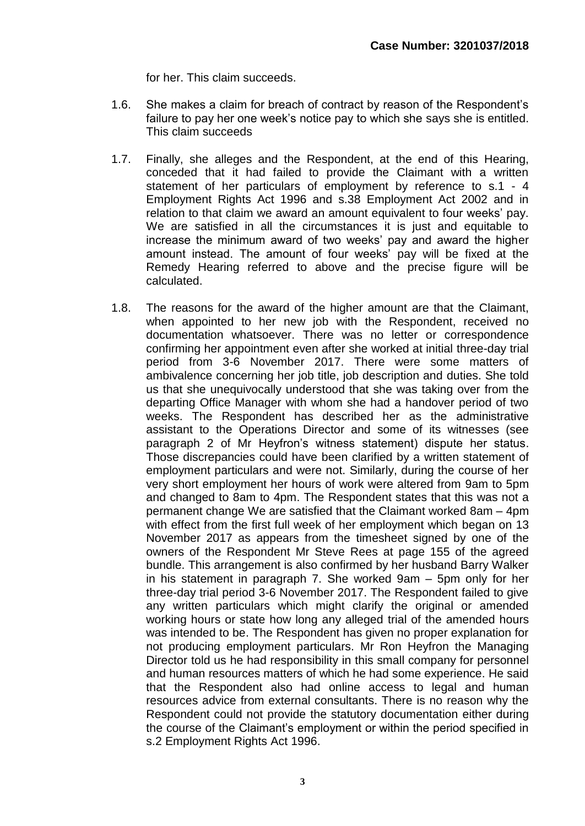for her. This claim succeeds.

- 1.6. She makes a claim for breach of contract by reason of the Respondent's failure to pay her one week's notice pay to which she says she is entitled. This claim succeeds
- 1.7. Finally, she alleges and the Respondent, at the end of this Hearing, conceded that it had failed to provide the Claimant with a written statement of her particulars of employment by reference to s.1 - 4 Employment Rights Act 1996 and s.38 Employment Act 2002 and in relation to that claim we award an amount equivalent to four weeks' pay. We are satisfied in all the circumstances it is just and equitable to increase the minimum award of two weeks' pay and award the higher amount instead. The amount of four weeks' pay will be fixed at the Remedy Hearing referred to above and the precise figure will be calculated.
- 1.8. The reasons for the award of the higher amount are that the Claimant, when appointed to her new job with the Respondent, received no documentation whatsoever. There was no letter or correspondence confirming her appointment even after she worked at initial three-day trial period from 3-6 November 2017. There were some matters of ambivalence concerning her job title, job description and duties. She told us that she unequivocally understood that she was taking over from the departing Office Manager with whom she had a handover period of two weeks. The Respondent has described her as the administrative assistant to the Operations Director and some of its witnesses (see paragraph 2 of Mr Heyfron's witness statement) dispute her status. Those discrepancies could have been clarified by a written statement of employment particulars and were not. Similarly, during the course of her very short employment her hours of work were altered from 9am to 5pm and changed to 8am to 4pm. The Respondent states that this was not a permanent change We are satisfied that the Claimant worked 8am – 4pm with effect from the first full week of her employment which began on 13 November 2017 as appears from the timesheet signed by one of the owners of the Respondent Mr Steve Rees at page 155 of the agreed bundle. This arrangement is also confirmed by her husband Barry Walker in his statement in paragraph 7. She worked 9am – 5pm only for her three-day trial period 3-6 November 2017. The Respondent failed to give any written particulars which might clarify the original or amended working hours or state how long any alleged trial of the amended hours was intended to be. The Respondent has given no proper explanation for not producing employment particulars. Mr Ron Heyfron the Managing Director told us he had responsibility in this small company for personnel and human resources matters of which he had some experience. He said that the Respondent also had online access to legal and human resources advice from external consultants. There is no reason why the Respondent could not provide the statutory documentation either during the course of the Claimant's employment or within the period specified in s.2 Employment Rights Act 1996.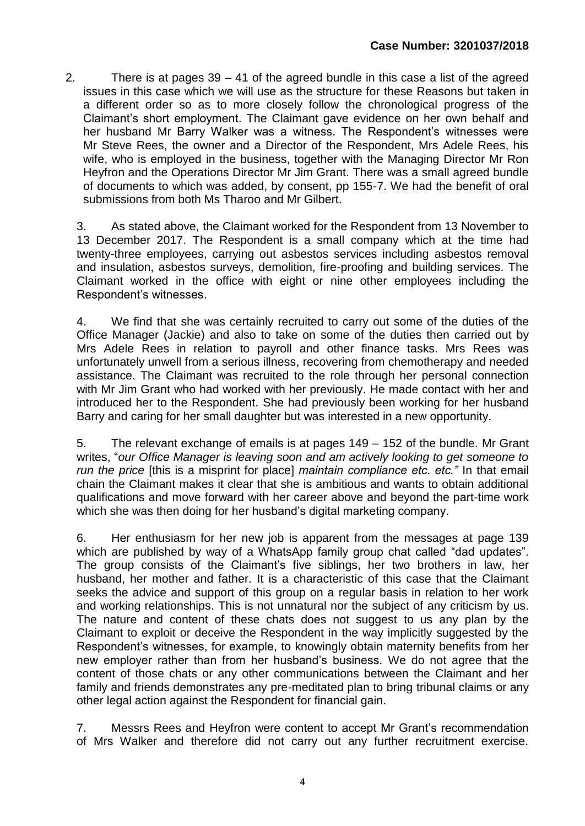2. There is at pages 39 – 41 of the agreed bundle in this case a list of the agreed issues in this case which we will use as the structure for these Reasons but taken in a different order so as to more closely follow the chronological progress of the Claimant's short employment. The Claimant gave evidence on her own behalf and her husband Mr Barry Walker was a witness. The Respondent's witnesses were Mr Steve Rees, the owner and a Director of the Respondent, Mrs Adele Rees, his wife, who is employed in the business, together with the Managing Director Mr Ron Heyfron and the Operations Director Mr Jim Grant. There was a small agreed bundle of documents to which was added, by consent, pp 155-7. We had the benefit of oral submissions from both Ms Tharoo and Mr Gilbert.

3. As stated above, the Claimant worked for the Respondent from 13 November to 13 December 2017. The Respondent is a small company which at the time had twenty-three employees, carrying out asbestos services including asbestos removal and insulation, asbestos surveys, demolition, fire-proofing and building services. The Claimant worked in the office with eight or nine other employees including the Respondent's witnesses.

4. We find that she was certainly recruited to carry out some of the duties of the Office Manager (Jackie) and also to take on some of the duties then carried out by Mrs Adele Rees in relation to payroll and other finance tasks. Mrs Rees was unfortunately unwell from a serious illness, recovering from chemotherapy and needed assistance. The Claimant was recruited to the role through her personal connection with Mr Jim Grant who had worked with her previously. He made contact with her and introduced her to the Respondent. She had previously been working for her husband Barry and caring for her small daughter but was interested in a new opportunity.

5. The relevant exchange of emails is at pages 149 – 152 of the bundle. Mr Grant writes, "*our Office Manager is leaving soon and am actively looking to get someone to run the price* [this is a misprint for place] *maintain compliance etc. etc."* In that email chain the Claimant makes it clear that she is ambitious and wants to obtain additional qualifications and move forward with her career above and beyond the part-time work which she was then doing for her husband's digital marketing company.

6. Her enthusiasm for her new job is apparent from the messages at page 139 which are published by way of a WhatsApp family group chat called "dad updates". The group consists of the Claimant's five siblings, her two brothers in law, her husband, her mother and father. It is a characteristic of this case that the Claimant seeks the advice and support of this group on a regular basis in relation to her work and working relationships. This is not unnatural nor the subject of any criticism by us. The nature and content of these chats does not suggest to us any plan by the Claimant to exploit or deceive the Respondent in the way implicitly suggested by the Respondent's witnesses, for example, to knowingly obtain maternity benefits from her new employer rather than from her husband's business. We do not agree that the content of those chats or any other communications between the Claimant and her family and friends demonstrates any pre-meditated plan to bring tribunal claims or any other legal action against the Respondent for financial gain.

7. Messrs Rees and Heyfron were content to accept Mr Grant's recommendation of Mrs Walker and therefore did not carry out any further recruitment exercise.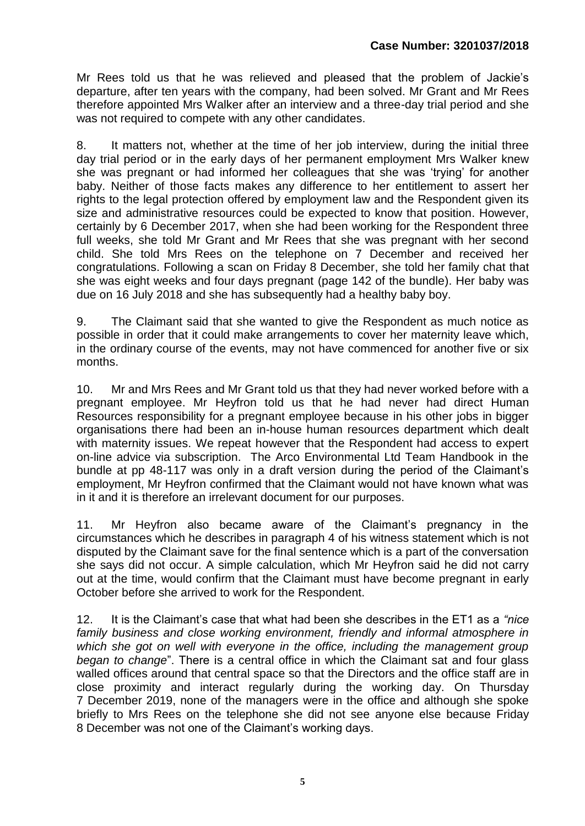Mr Rees told us that he was relieved and pleased that the problem of Jackie's departure, after ten years with the company, had been solved. Mr Grant and Mr Rees therefore appointed Mrs Walker after an interview and a three-day trial period and she was not required to compete with any other candidates.

8. It matters not, whether at the time of her job interview, during the initial three day trial period or in the early days of her permanent employment Mrs Walker knew she was pregnant or had informed her colleagues that she was 'trying' for another baby. Neither of those facts makes any difference to her entitlement to assert her rights to the legal protection offered by employment law and the Respondent given its size and administrative resources could be expected to know that position. However, certainly by 6 December 2017, when she had been working for the Respondent three full weeks, she told Mr Grant and Mr Rees that she was pregnant with her second child. She told Mrs Rees on the telephone on 7 December and received her congratulations. Following a scan on Friday 8 December, she told her family chat that she was eight weeks and four days pregnant (page 142 of the bundle). Her baby was due on 16 July 2018 and she has subsequently had a healthy baby boy.

9. The Claimant said that she wanted to give the Respondent as much notice as possible in order that it could make arrangements to cover her maternity leave which, in the ordinary course of the events, may not have commenced for another five or six months.

10. Mr and Mrs Rees and Mr Grant told us that they had never worked before with a pregnant employee. Mr Heyfron told us that he had never had direct Human Resources responsibility for a pregnant employee because in his other jobs in bigger organisations there had been an in-house human resources department which dealt with maternity issues. We repeat however that the Respondent had access to expert on-line advice via subscription. The Arco Environmental Ltd Team Handbook in the bundle at pp 48-117 was only in a draft version during the period of the Claimant's employment, Mr Heyfron confirmed that the Claimant would not have known what was in it and it is therefore an irrelevant document for our purposes.

11. Mr Heyfron also became aware of the Claimant's pregnancy in the circumstances which he describes in paragraph 4 of his witness statement which is not disputed by the Claimant save for the final sentence which is a part of the conversation she says did not occur. A simple calculation, which Mr Heyfron said he did not carry out at the time, would confirm that the Claimant must have become pregnant in early October before she arrived to work for the Respondent.

12. It is the Claimant's case that what had been she describes in the ET1 as a *"nice family business and close working environment, friendly and informal atmosphere in*  which she got on well with everyone in the office, including the management group *began to change*". There is a central office in which the Claimant sat and four glass walled offices around that central space so that the Directors and the office staff are in close proximity and interact regularly during the working day. On Thursday 7 December 2019, none of the managers were in the office and although she spoke briefly to Mrs Rees on the telephone she did not see anyone else because Friday 8 December was not one of the Claimant's working days.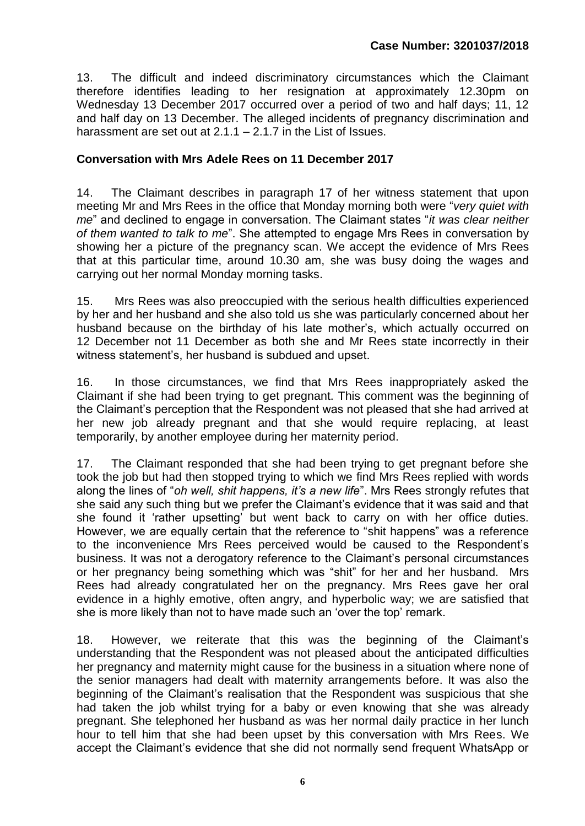13. The difficult and indeed discriminatory circumstances which the Claimant therefore identifies leading to her resignation at approximately 12.30pm on Wednesday 13 December 2017 occurred over a period of two and half days; 11, 12 and half day on 13 December. The alleged incidents of pregnancy discrimination and harassment are set out at  $2.1.1 - 2.1.7$  in the List of Issues.

## **Conversation with Mrs Adele Rees on 11 December 2017**

14. The Claimant describes in paragraph 17 of her witness statement that upon meeting Mr and Mrs Rees in the office that Monday morning both were "*very quiet with me*" and declined to engage in conversation. The Claimant states "*it was clear neither of them wanted to talk to me*". She attempted to engage Mrs Rees in conversation by showing her a picture of the pregnancy scan. We accept the evidence of Mrs Rees that at this particular time, around 10.30 am, she was busy doing the wages and carrying out her normal Monday morning tasks.

15. Mrs Rees was also preoccupied with the serious health difficulties experienced by her and her husband and she also told us she was particularly concerned about her husband because on the birthday of his late mother's, which actually occurred on 12 December not 11 December as both she and Mr Rees state incorrectly in their witness statement's, her husband is subdued and upset.

16. In those circumstances, we find that Mrs Rees inappropriately asked the Claimant if she had been trying to get pregnant. This comment was the beginning of the Claimant's perception that the Respondent was not pleased that she had arrived at her new job already pregnant and that she would require replacing, at least temporarily, by another employee during her maternity period.

17. The Claimant responded that she had been trying to get pregnant before she took the job but had then stopped trying to which we find Mrs Rees replied with words along the lines of "*oh well, shit happens, it's a new life*". Mrs Rees strongly refutes that she said any such thing but we prefer the Claimant's evidence that it was said and that she found it 'rather upsetting' but went back to carry on with her office duties. However, we are equally certain that the reference to "shit happens" was a reference to the inconvenience Mrs Rees perceived would be caused to the Respondent's business. It was not a derogatory reference to the Claimant's personal circumstances or her pregnancy being something which was "shit" for her and her husband. Mrs Rees had already congratulated her on the pregnancy. Mrs Rees gave her oral evidence in a highly emotive, often angry, and hyperbolic way; we are satisfied that she is more likely than not to have made such an 'over the top' remark.

18. However, we reiterate that this was the beginning of the Claimant's understanding that the Respondent was not pleased about the anticipated difficulties her pregnancy and maternity might cause for the business in a situation where none of the senior managers had dealt with maternity arrangements before. It was also the beginning of the Claimant's realisation that the Respondent was suspicious that she had taken the job whilst trying for a baby or even knowing that she was already pregnant. She telephoned her husband as was her normal daily practice in her lunch hour to tell him that she had been upset by this conversation with Mrs Rees. We accept the Claimant's evidence that she did not normally send frequent WhatsApp or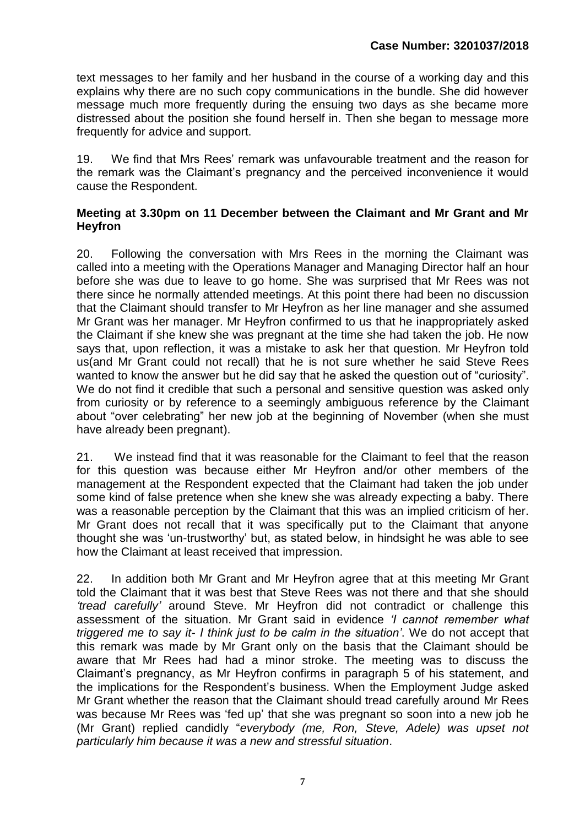text messages to her family and her husband in the course of a working day and this explains why there are no such copy communications in the bundle. She did however message much more frequently during the ensuing two days as she became more distressed about the position she found herself in. Then she began to message more frequently for advice and support.

19. We find that Mrs Rees' remark was unfavourable treatment and the reason for the remark was the Claimant's pregnancy and the perceived inconvenience it would cause the Respondent.

### **Meeting at 3.30pm on 11 December between the Claimant and Mr Grant and Mr Heyfron**

20. Following the conversation with Mrs Rees in the morning the Claimant was called into a meeting with the Operations Manager and Managing Director half an hour before she was due to leave to go home. She was surprised that Mr Rees was not there since he normally attended meetings. At this point there had been no discussion that the Claimant should transfer to Mr Heyfron as her line manager and she assumed Mr Grant was her manager. Mr Heyfron confirmed to us that he inappropriately asked the Claimant if she knew she was pregnant at the time she had taken the job. He now says that, upon reflection, it was a mistake to ask her that question. Mr Heyfron told us(and Mr Grant could not recall) that he is not sure whether he said Steve Rees wanted to know the answer but he did say that he asked the question out of "curiosity". We do not find it credible that such a personal and sensitive question was asked only from curiosity or by reference to a seemingly ambiguous reference by the Claimant about "over celebrating" her new job at the beginning of November (when she must have already been pregnant).

21. We instead find that it was reasonable for the Claimant to feel that the reason for this question was because either Mr Heyfron and/or other members of the management at the Respondent expected that the Claimant had taken the job under some kind of false pretence when she knew she was already expecting a baby. There was a reasonable perception by the Claimant that this was an implied criticism of her. Mr Grant does not recall that it was specifically put to the Claimant that anyone thought she was 'un-trustworthy' but, as stated below, in hindsight he was able to see how the Claimant at least received that impression.

22. In addition both Mr Grant and Mr Heyfron agree that at this meeting Mr Grant told the Claimant that it was best that Steve Rees was not there and that she should *'tread carefully'* around Steve. Mr Heyfron did not contradict or challenge this assessment of the situation. Mr Grant said in evidence *'I cannot remember what triggered me to say it- I think just to be calm in the situation'*. We do not accept that this remark was made by Mr Grant only on the basis that the Claimant should be aware that Mr Rees had had a minor stroke. The meeting was to discuss the Claimant's pregnancy, as Mr Heyfron confirms in paragraph 5 of his statement, and the implications for the Respondent's business. When the Employment Judge asked Mr Grant whether the reason that the Claimant should tread carefully around Mr Rees was because Mr Rees was 'fed up' that she was pregnant so soon into a new job he (Mr Grant) replied candidly "*everybody (me, Ron, Steve, Adele) was upset not particularly him because it was a new and stressful situation*.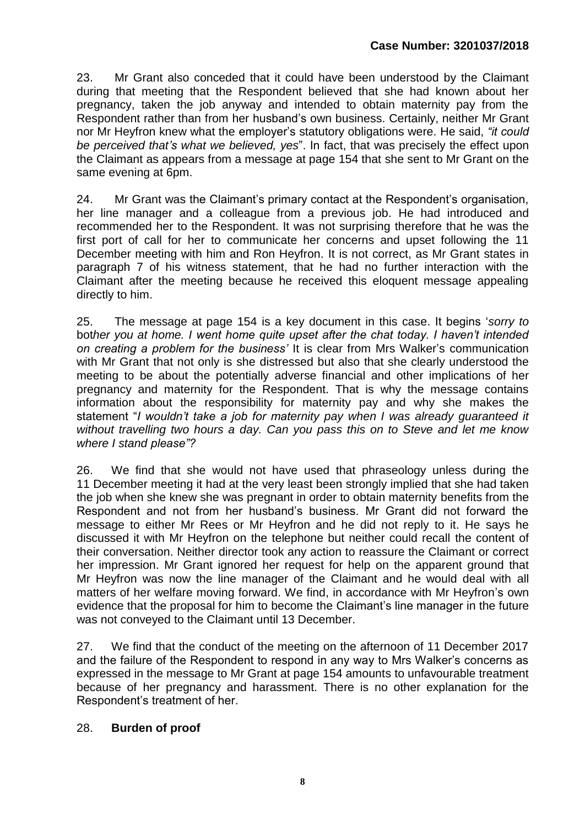23. Mr Grant also conceded that it could have been understood by the Claimant during that meeting that the Respondent believed that she had known about her pregnancy, taken the job anyway and intended to obtain maternity pay from the Respondent rather than from her husband's own business. Certainly, neither Mr Grant nor Mr Heyfron knew what the employer's statutory obligations were. He said, *"it could be perceived that's what we believed, yes*". In fact, that was precisely the effect upon the Claimant as appears from a message at page 154 that she sent to Mr Grant on the same evening at 6pm.

24. Mr Grant was the Claimant's primary contact at the Respondent's organisation, her line manager and a colleague from a previous job. He had introduced and recommended her to the Respondent. It was not surprising therefore that he was the first port of call for her to communicate her concerns and upset following the 11 December meeting with him and Ron Heyfron. It is not correct, as Mr Grant states in paragraph 7 of his witness statement, that he had no further interaction with the Claimant after the meeting because he received this eloquent message appealing directly to him.

25. The message at page 154 is a key document in this case. It begins '*sorry to* bot*her you at home. I went home quite upset after the chat today. I haven't intended on creating a problem for the business'* It is clear from Mrs Walker's communication with Mr Grant that not only is she distressed but also that she clearly understood the meeting to be about the potentially adverse financial and other implications of her pregnancy and maternity for the Respondent. That is why the message contains information about the responsibility for maternity pay and why she makes the statement "*I wouldn't take a job for maternity pay when I was already guaranteed it without travelling two hours a day. Can you pass this on to Steve and let me know where I stand please"?*

26. We find that she would not have used that phraseology unless during the 11 December meeting it had at the very least been strongly implied that she had taken the job when she knew she was pregnant in order to obtain maternity benefits from the Respondent and not from her husband's business. Mr Grant did not forward the message to either Mr Rees or Mr Heyfron and he did not reply to it. He says he discussed it with Mr Heyfron on the telephone but neither could recall the content of their conversation. Neither director took any action to reassure the Claimant or correct her impression. Mr Grant ignored her request for help on the apparent ground that Mr Heyfron was now the line manager of the Claimant and he would deal with all matters of her welfare moving forward. We find, in accordance with Mr Heyfron's own evidence that the proposal for him to become the Claimant's line manager in the future was not conveyed to the Claimant until 13 December.

27. We find that the conduct of the meeting on the afternoon of 11 December 2017 and the failure of the Respondent to respond in any way to Mrs Walker's concerns as expressed in the message to Mr Grant at page 154 amounts to unfavourable treatment because of her pregnancy and harassment. There is no other explanation for the Respondent's treatment of her.

#### 28. **Burden of proof**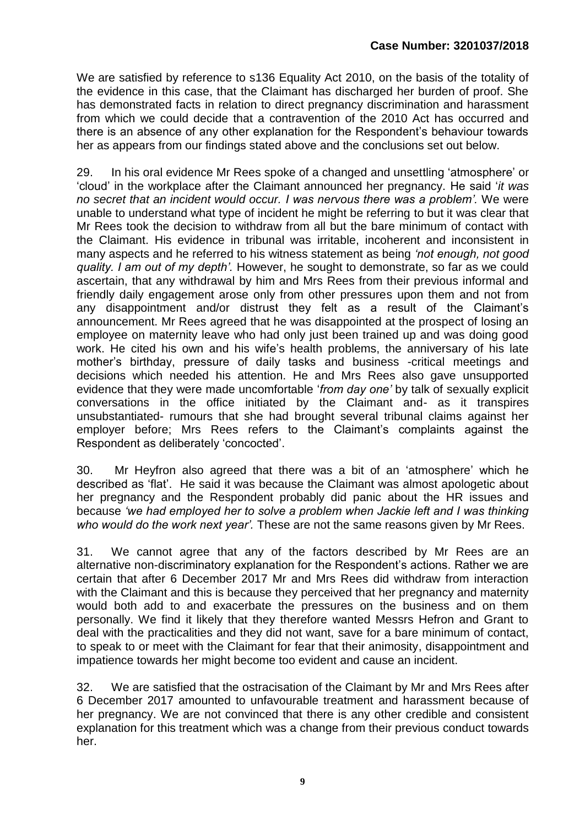We are satisfied by reference to s136 Equality Act 2010, on the basis of the totality of the evidence in this case, that the Claimant has discharged her burden of proof. She has demonstrated facts in relation to direct pregnancy discrimination and harassment from which we could decide that a contravention of the 2010 Act has occurred and there is an absence of any other explanation for the Respondent's behaviour towards her as appears from our findings stated above and the conclusions set out below.

29. In his oral evidence Mr Rees spoke of a changed and unsettling 'atmosphere' or 'cloud' in the workplace after the Claimant announced her pregnancy. He said '*it was no secret that an incident would occur. I was nervous there was a problem'.* We were unable to understand what type of incident he might be referring to but it was clear that Mr Rees took the decision to withdraw from all but the bare minimum of contact with the Claimant. His evidence in tribunal was irritable, incoherent and inconsistent in many aspects and he referred to his witness statement as being *'not enough, not good quality. I am out of my depth'.* However, he sought to demonstrate, so far as we could ascertain, that any withdrawal by him and Mrs Rees from their previous informal and friendly daily engagement arose only from other pressures upon them and not from any disappointment and/or distrust they felt as a result of the Claimant's announcement. Mr Rees agreed that he was disappointed at the prospect of losing an employee on maternity leave who had only just been trained up and was doing good work. He cited his own and his wife's health problems, the anniversary of his late mother's birthday, pressure of daily tasks and business -critical meetings and decisions which needed his attention. He and Mrs Rees also gave unsupported evidence that they were made uncomfortable '*from day one'* by talk of sexually explicit conversations in the office initiated by the Claimant and- as it transpires unsubstantiated- rumours that she had brought several tribunal claims against her employer before; Mrs Rees refers to the Claimant's complaints against the Respondent as deliberately 'concocted'.

30. Mr Heyfron also agreed that there was a bit of an 'atmosphere' which he described as 'flat'. He said it was because the Claimant was almost apologetic about her pregnancy and the Respondent probably did panic about the HR issues and because *'we had employed her to solve a problem when Jackie left and I was thinking who would do the work next year'.* These are not the same reasons given by Mr Rees.

31. We cannot agree that any of the factors described by Mr Rees are an alternative non-discriminatory explanation for the Respondent's actions. Rather we are certain that after 6 December 2017 Mr and Mrs Rees did withdraw from interaction with the Claimant and this is because they perceived that her pregnancy and maternity would both add to and exacerbate the pressures on the business and on them personally. We find it likely that they therefore wanted Messrs Hefron and Grant to deal with the practicalities and they did not want, save for a bare minimum of contact, to speak to or meet with the Claimant for fear that their animosity, disappointment and impatience towards her might become too evident and cause an incident.

32. We are satisfied that the ostracisation of the Claimant by Mr and Mrs Rees after 6 December 2017 amounted to unfavourable treatment and harassment because of her pregnancy. We are not convinced that there is any other credible and consistent explanation for this treatment which was a change from their previous conduct towards her.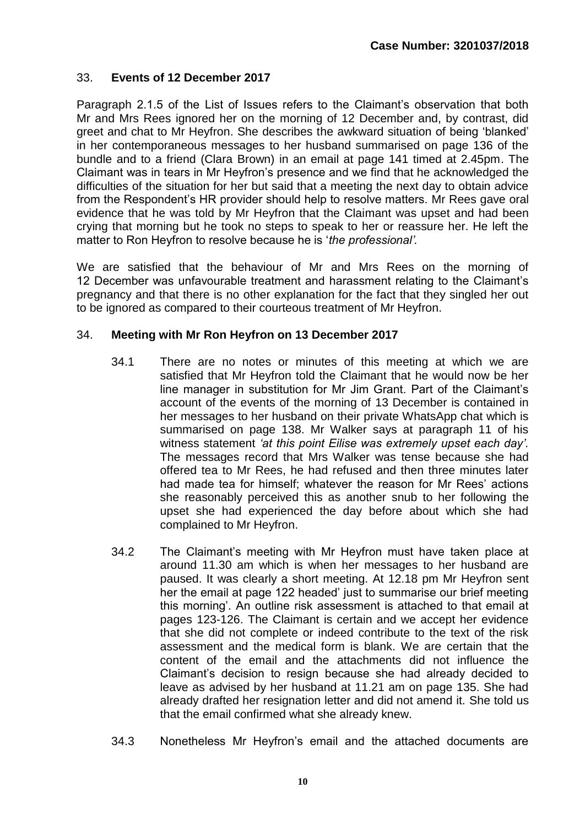# 33. **Events of 12 December 2017**

Paragraph 2.1.5 of the List of Issues refers to the Claimant's observation that both Mr and Mrs Rees ignored her on the morning of 12 December and, by contrast, did greet and chat to Mr Heyfron. She describes the awkward situation of being 'blanked' in her contemporaneous messages to her husband summarised on page 136 of the bundle and to a friend (Clara Brown) in an email at page 141 timed at 2.45pm. The Claimant was in tears in Mr Heyfron's presence and we find that he acknowledged the difficulties of the situation for her but said that a meeting the next day to obtain advice from the Respondent's HR provider should help to resolve matters. Mr Rees gave oral evidence that he was told by Mr Heyfron that the Claimant was upset and had been crying that morning but he took no steps to speak to her or reassure her. He left the matter to Ron Heyfron to resolve because he is '*the professional'.*

We are satisfied that the behaviour of Mr and Mrs Rees on the morning of 12 December was unfavourable treatment and harassment relating to the Claimant's pregnancy and that there is no other explanation for the fact that they singled her out to be ignored as compared to their courteous treatment of Mr Heyfron.

#### 34. **Meeting with Mr Ron Heyfron on 13 December 2017**

- 34.1 There are no notes or minutes of this meeting at which we are satisfied that Mr Heyfron told the Claimant that he would now be her line manager in substitution for Mr Jim Grant. Part of the Claimant's account of the events of the morning of 13 December is contained in her messages to her husband on their private WhatsApp chat which is summarised on page 138. Mr Walker says at paragraph 11 of his witness statement *'at this point Eilise was extremely upset each day'.*  The messages record that Mrs Walker was tense because she had offered tea to Mr Rees, he had refused and then three minutes later had made tea for himself; whatever the reason for Mr Rees' actions she reasonably perceived this as another snub to her following the upset she had experienced the day before about which she had complained to Mr Heyfron.
- 34.2 The Claimant's meeting with Mr Heyfron must have taken place at around 11.30 am which is when her messages to her husband are paused. It was clearly a short meeting. At 12.18 pm Mr Heyfron sent her the email at page 122 headed' just to summarise our brief meeting this morning'. An outline risk assessment is attached to that email at pages 123-126. The Claimant is certain and we accept her evidence that she did not complete or indeed contribute to the text of the risk assessment and the medical form is blank. We are certain that the content of the email and the attachments did not influence the Claimant's decision to resign because she had already decided to leave as advised by her husband at 11.21 am on page 135. She had already drafted her resignation letter and did not amend it. She told us that the email confirmed what she already knew.
- 34.3 Nonetheless Mr Heyfron's email and the attached documents are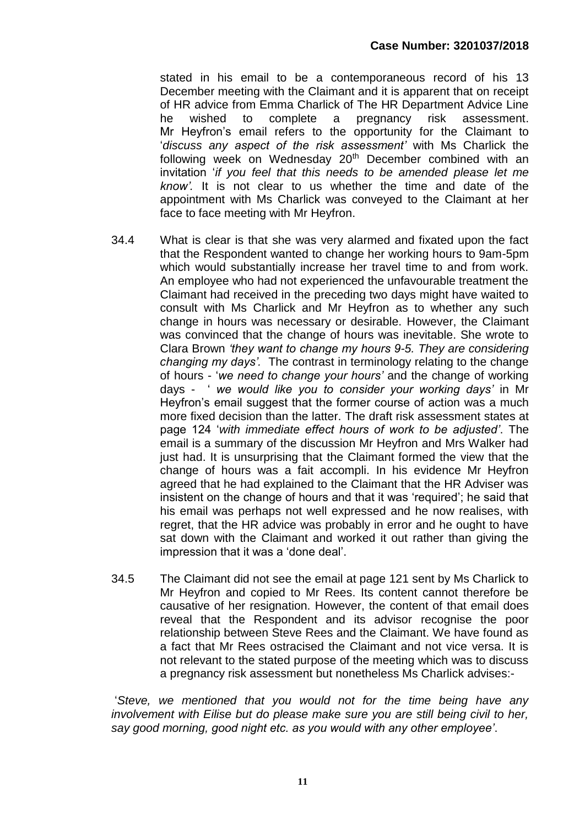stated in his email to be a contemporaneous record of his 13 December meeting with the Claimant and it is apparent that on receipt of HR advice from Emma Charlick of The HR Department Advice Line he wished to complete a pregnancy risk assessment. Mr Heyfron's email refers to the opportunity for the Claimant to '*discuss any aspect of the risk assessment'* with Ms Charlick the following week on Wednesday 20<sup>th</sup> December combined with an invitation '*if you feel that this needs to be amended please let me know'.* It is not clear to us whether the time and date of the appointment with Ms Charlick was conveyed to the Claimant at her face to face meeting with Mr Heyfron.

- 34.4 What is clear is that she was very alarmed and fixated upon the fact that the Respondent wanted to change her working hours to 9am-5pm which would substantially increase her travel time to and from work. An employee who had not experienced the unfavourable treatment the Claimant had received in the preceding two days might have waited to consult with Ms Charlick and Mr Heyfron as to whether any such change in hours was necessary or desirable. However, the Claimant was convinced that the change of hours was inevitable. She wrote to Clara Brown *'they want to change my hours 9-5. They are considering changing my days'.* The contrast in terminology relating to the change of hours - '*we need to change your hours'* and the change of working days - ' *we would like you to consider your working days'* in Mr Heyfron's email suggest that the former course of action was a much more fixed decision than the latter. The draft risk assessment states at page 124 '*with immediate effect hours of work to be adjusted'*. The email is a summary of the discussion Mr Heyfron and Mrs Walker had just had. It is unsurprising that the Claimant formed the view that the change of hours was a fait accompli. In his evidence Mr Heyfron agreed that he had explained to the Claimant that the HR Adviser was insistent on the change of hours and that it was 'required'; he said that his email was perhaps not well expressed and he now realises, with regret, that the HR advice was probably in error and he ought to have sat down with the Claimant and worked it out rather than giving the impression that it was a 'done deal'.
- 34.5 The Claimant did not see the email at page 121 sent by Ms Charlick to Mr Heyfron and copied to Mr Rees. Its content cannot therefore be causative of her resignation. However, the content of that email does reveal that the Respondent and its advisor recognise the poor relationship between Steve Rees and the Claimant. We have found as a fact that Mr Rees ostracised the Claimant and not vice versa. It is not relevant to the stated purpose of the meeting which was to discuss a pregnancy risk assessment but nonetheless Ms Charlick advises:-

'*Steve, we mentioned that you would not for the time being have any involvement with Eilise but do please make sure you are still being civil to her, say good morning, good night etc. as you would with any other employee'*.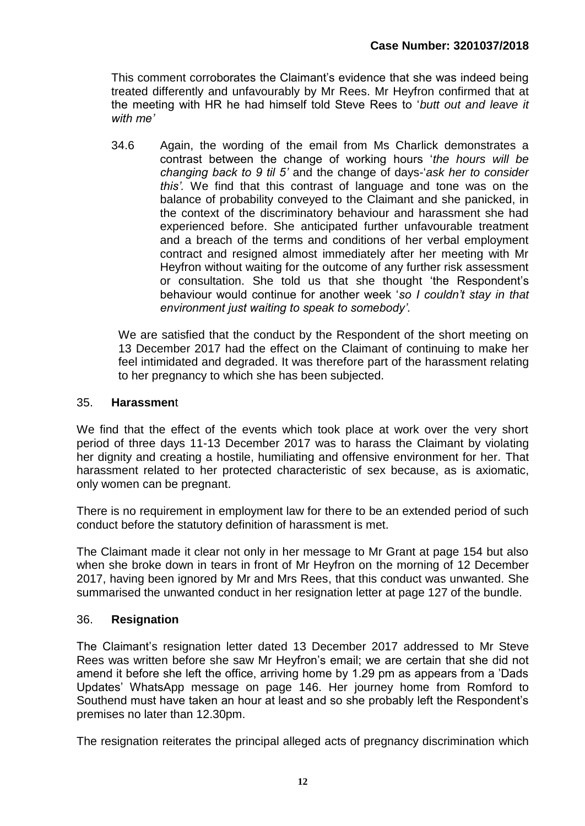This comment corroborates the Claimant's evidence that she was indeed being treated differently and unfavourably by Mr Rees. Mr Heyfron confirmed that at the meeting with HR he had himself told Steve Rees to '*butt out and leave it with me'*

34.6 Again, the wording of the email from Ms Charlick demonstrates a contrast between the change of working hours '*the hours will be changing back to 9 til 5'* and the change of days-'*ask her to consider this'.* We find that this contrast of language and tone was on the balance of probability conveyed to the Claimant and she panicked, in the context of the discriminatory behaviour and harassment she had experienced before. She anticipated further unfavourable treatment and a breach of the terms and conditions of her verbal employment contract and resigned almost immediately after her meeting with Mr Heyfron without waiting for the outcome of any further risk assessment or consultation. She told us that she thought 'the Respondent's behaviour would continue for another week '*so I couldn't stay in that environment just waiting to speak to somebody'.*

We are satisfied that the conduct by the Respondent of the short meeting on 13 December 2017 had the effect on the Claimant of continuing to make her feel intimidated and degraded. It was therefore part of the harassment relating to her pregnancy to which she has been subjected.

#### 35. **Harassmen**t

We find that the effect of the events which took place at work over the very short period of three days 11-13 December 2017 was to harass the Claimant by violating her dignity and creating a hostile, humiliating and offensive environment for her. That harassment related to her protected characteristic of sex because, as is axiomatic, only women can be pregnant.

There is no requirement in employment law for there to be an extended period of such conduct before the statutory definition of harassment is met.

The Claimant made it clear not only in her message to Mr Grant at page 154 but also when she broke down in tears in front of Mr Heyfron on the morning of 12 December 2017, having been ignored by Mr and Mrs Rees, that this conduct was unwanted. She summarised the unwanted conduct in her resignation letter at page 127 of the bundle.

# 36. **Resignation**

The Claimant's resignation letter dated 13 December 2017 addressed to Mr Steve Rees was written before she saw Mr Heyfron's email; we are certain that she did not amend it before she left the office, arriving home by 1.29 pm as appears from a 'Dads Updates' WhatsApp message on page 146. Her journey home from Romford to Southend must have taken an hour at least and so she probably left the Respondent's premises no later than 12.30pm.

The resignation reiterates the principal alleged acts of pregnancy discrimination which